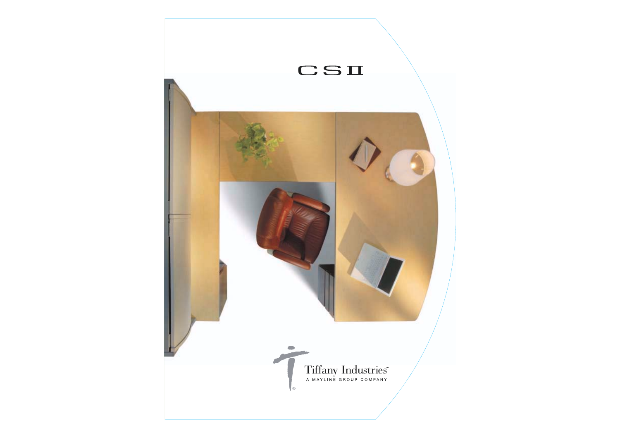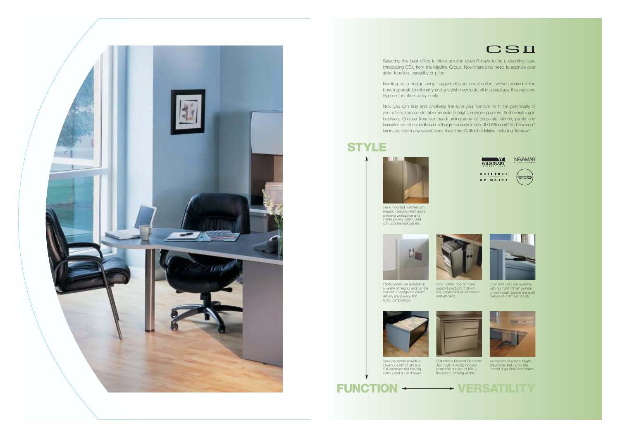

Selecting the best office furniture solution doesn't have to be a daunting task. Introducing CSII, from the Mayline Group. Now there's no need to agonize over style, function, versatility or price.

Now you can truly and creatively fine-tune your furniture to fit the personality of your office, from comfortable neutrals to bright, energizing colors. And everything in between. Choose from our head-turning array of corporate fabrics, paints and laminates or—at no additional upcharge—access to over 400 Wilsonart® and Nevamar® laminates and many select fabric lines from Guilford of Maine including Terratex<sup>®</sup>.

Building on a design using rugged all-steel construction, we've created a line boasting sleek functionality and a stylish new look, all in a package thta registers high on the affordability scale.







## **STYLE**





CPU holder, one of many support products that will help employees be productive

and efficient.



Overhead units are available with our "Soft Close" system, providing safe, secure and quiet closure of overhead doors.





Incorporate Mayline's heightadjustable desking for the perfect ergonomic workstation.

CSII offers a Personal File Center along with a variety of desk pedestals and lateral files the best of all filing worlds.

Desk pedestals provide a cavernous 30" of storage. Full extension ball bearing slides used on all drawers.

Fabric panels are available in a variety of heights and can be stacked or ganged to create virtually any privacy and fabric combination.



Desk-mounted hutches with elegant, radiused front doors preserve workspace and create privacy when used with optional tack panels.

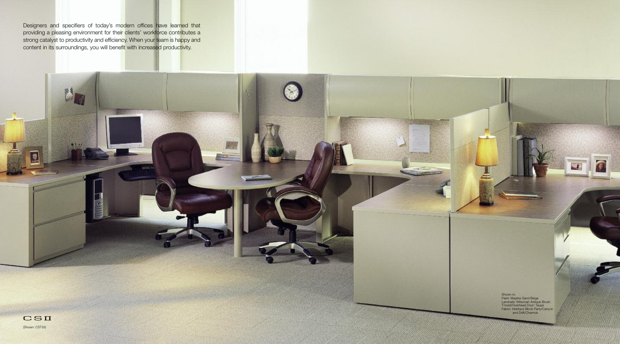Shown in; Paint: Mayline Sand Beige Laminate: Wilsonart Antique Brush T-mold/Overhead Door: Taupe Fabric: Interface Block Party/Canyon and Drift/Chamois



壁

Designers and specifiers of today's modern offices have learned that providing a pleasing environment for their clients' workforce contributes a strong catalyst to productivity and efficiency. When your team is happy and content in its surroundings, you will benefit with increased productivity.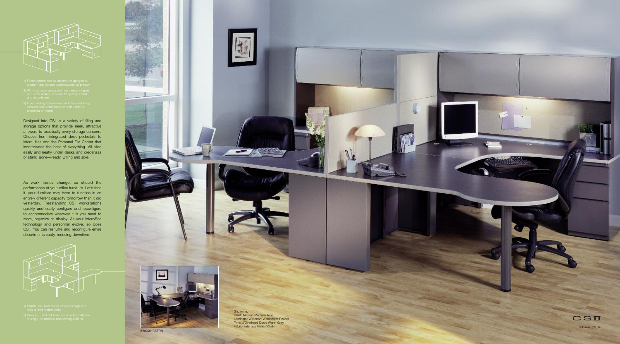As work trends change, so should the l performance of your office furniture. Let's face i i i t, your furniture may have to function in an i i i entirely different capacity tomorrow than it did i l i i i i yesterday. Freestanding CSII workstations i i quickly and easily configure and reconfigure i l i l i i to accommodate whatever it is you need to i i store, organize or display. As your interoffice i i l i i technology and personnel evolve, so does l l l CSII. You can reshuffle and reconfigure entire l i i departments easily, reducing downtime. i l i i





- 
- 
- 

Designed into CSII is a variety of filing and i i i i i l i storage options that provide sleek, attractive i i l i answers to practically every storage concern. i l l Choose from integrated desk pedestals to i l l ateral files and the Personal File Center that l i l l i l i ncorporates the best of everything. All slide i l l l i easily and neatly under desks and credenzas i l l or stand alone—ready, willing and able. l i l l i l

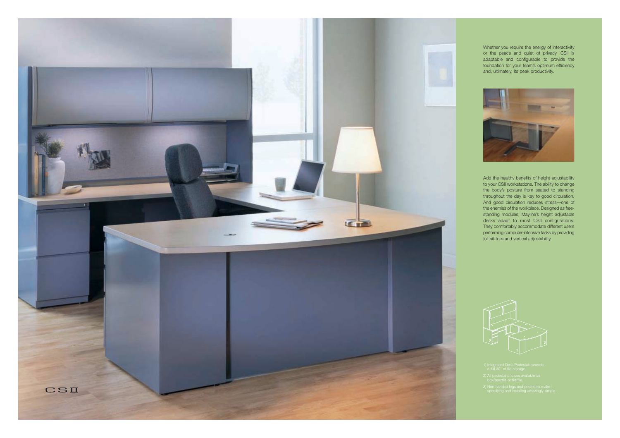

- 
- 
- 



Whether you require the energy of interactivity or the peace and quiet of privacy, CSII is adaptable and configurable to provide the foundation for your team's optimum efficiency and, ultimately, its peak productivity.



Add the healthy benefits of height adjustability to your CSII workstations. The ability to change the body's posture from seated to standing throughout the day is key to good circulation. And good circulation reduces stress—one of the enemies of the workplace. Designed as freestanding modules, Mayline's height adjustable desks adapt to most CSII configurations. They comfortably accommodate different users performing computer-intensive tasks by providing full sit-to-stand vertical adjustability.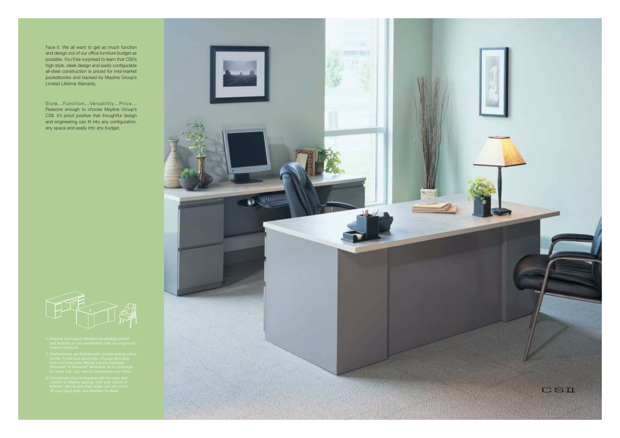Face it. We all want to get as much function and design out of our office furniture budget as possible. You'll be surprised to learn that CSII's high style, sleek design and easily configurable all-steel construction is priced for mid-market pocketbooks and backed by Mayline Group's Limited Lifetime Warranty.

Style…Function…Versatility…Price… Reasons enough to choose Mayline Group's CSII. It's proof positive that thoughtful design and engineering can fit into any configuration, any space and easily into any budget.



- 
- 
-